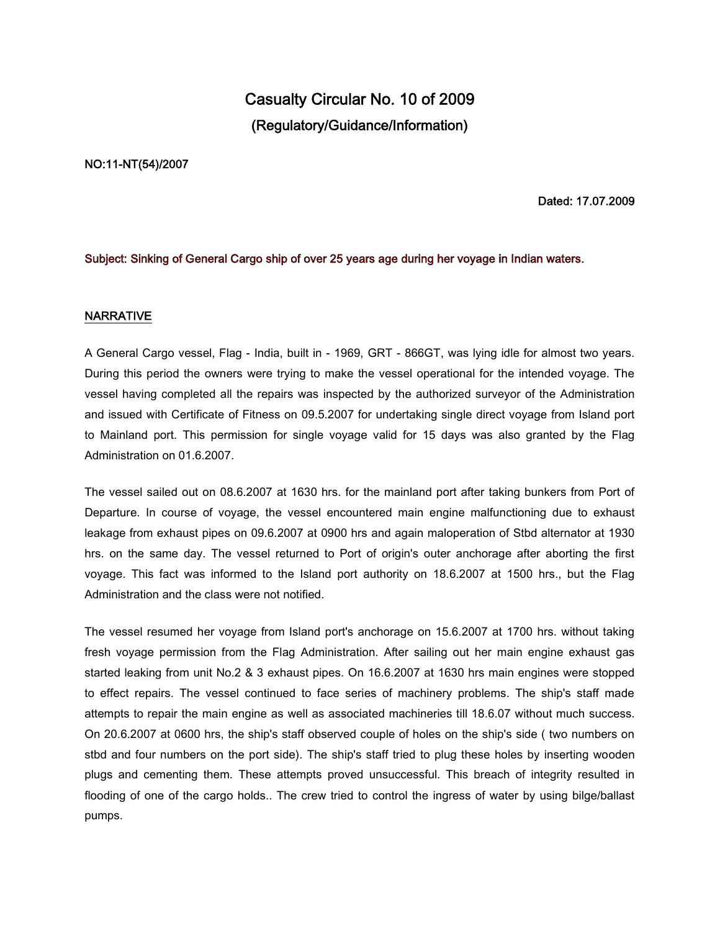# **Casualty Circular No. 10 of 2009 (Regulatory/Guidance/Information)**

#### **NO:11-NT(54)/2007**

## **Dated: 17.07.2009**

#### **Subject: Sinking of General Cargo ship of over 25 years age during her voyage in Indian waters.**

#### **NARRATIVE**

A General Cargo vessel, Flag - India, built in - 1969, GRT - 866GT, was lying idle for almost two years. During this period the owners were trying to make the vessel operational for the intended voyage. The vessel having completed all the repairs was inspected by the authorized surveyor of the Administration and issued with Certificate of Fitness on 09.5.2007 for undertaking single direct voyage from Island port to Mainland port. This permission for single voyage valid for 15 days was also granted by the Flag Administration on 01.6.2007.

The vessel sailed out on 08.6.2007 at 1630 hrs. for the mainland port after taking bunkers from Port of Departure. In course of voyage, the vessel encountered main engine malfunctioning due to exhaust leakage from exhaust pipes on 09.6.2007 at 0900 hrs and again maloperation of Stbd alternator at 1930 hrs. on the same day. The vessel returned to Port of origin's outer anchorage after aborting the first voyage. This fact was informed to the Island port authority on 18.6.2007 at 1500 hrs., but the Flag Administration and the class were not notified.

The vessel resumed her voyage from Island port's anchorage on 15.6.2007 at 1700 hrs. without taking fresh voyage permission from the Flag Administration. After sailing out her main engine exhaust gas started leaking from unit No.2 & 3 exhaust pipes. On 16.6.2007 at 1630 hrs main engines were stopped to effect repairs. The vessel continued to face series of machinery problems. The ship's staff made attempts to repair the main engine as well as associated machineries till 18.6.07 without much success. On 20.6.2007 at 0600 hrs, the ship's staff observed couple of holes on the ship's side ( two numbers on stbd and four numbers on the port side). The ship's staff tried to plug these holes by inserting wooden plugs and cementing them. These attempts proved unsuccessful. This breach of integrity resulted in flooding of one of the cargo holds.. The crew tried to control the ingress of water by using bilge/ballast pumps.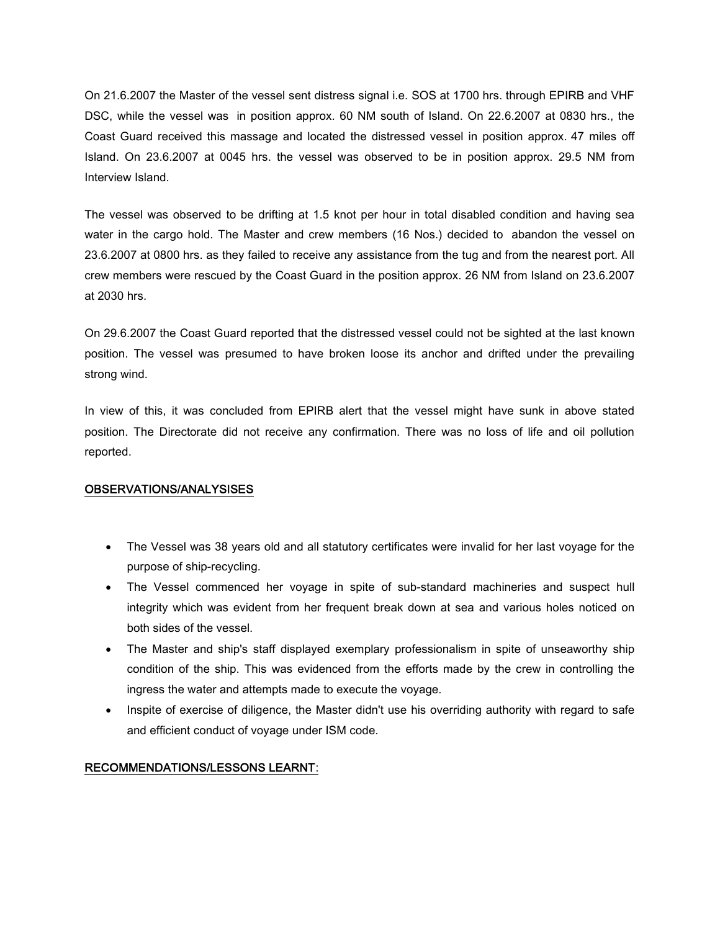On 21.6.2007 the Master of the vessel sent distress signal i.e. SOS at 1700 hrs. through EPIRB and VHF DSC, while the vessel was in position approx. 60 NM south of Island. On 22.6.2007 at 0830 hrs., the Coast Guard received this massage and located the distressed vessel in position approx. 47 miles off Island. On 23.6.2007 at 0045 hrs. the vessel was observed to be in position approx. 29.5 NM from Interview Island.

The vessel was observed to be drifting at 1.5 knot per hour in total disabled condition and having sea water in the cargo hold. The Master and crew members (16 Nos.) decided to abandon the vessel on 23.6.2007 at 0800 hrs. as they failed to receive any assistance from the tug and from the nearest port. All crew members were rescued by the Coast Guard in the position approx. 26 NM from Island on 23.6.2007 at 2030 hrs.

On 29.6.2007 the Coast Guard reported that the distressed vessel could not be sighted at the last known position. The vessel was presumed to have broken loose its anchor and drifted under the prevailing strong wind.

In view of this, it was concluded from EPIRB alert that the vessel might have sunk in above stated position. The Directorate did not receive any confirmation. There was no loss of life and oil pollution reported.

# **OBSERVATIONS/ANALYSISES**

- The Vessel was 38 years old and all statutory certificates were invalid for her last voyage for the purpose of ship-recycling.
- The Vessel commenced her voyage in spite of sub-standard machineries and suspect hull integrity which was evident from her frequent break down at sea and various holes noticed on both sides of the vessel.
- The Master and ship's staff displayed exemplary professionalism in spite of unseaworthy ship condition of the ship. This was evidenced from the efforts made by the crew in controlling the ingress the water and attempts made to execute the voyage.
- Inspite of exercise of diligence, the Master didn't use his overriding authority with regard to safe and efficient conduct of voyage under ISM code.

## **RECOMMENDATIONS/LESSONS LEARNT**: